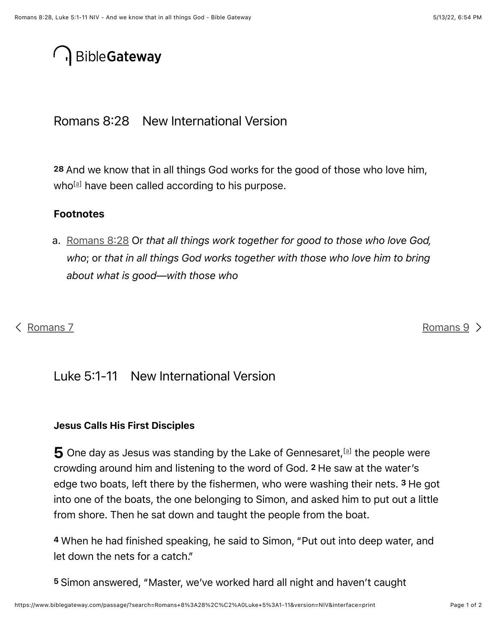# **BibleGateway**

Romans 8:28 New International Version

<span id="page-0-0"></span>28 And we know that in all things God works for the good of those who love him, who have been called according to his purpose.

#### Footnotes

<span id="page-0-1"></span>a. [Romans 8](#page-0-0):28 Or *that all things work together for good to those who love God, who*; or *that in all things God works together with those who love him to bring about what is good—with those who*

### [Romans 7](https://www.biblegateway.com/passage/?search=Romans%207&version=NIV) [Romans 9](https://www.biblegateway.com/passage/?search=Romans%209&version=NIV) Romans 9 Romans 9 Romans 9 Romans 9 Romans 9 Romans 9 Romans 9 Romans 9 Romans 9 Romans 9 Romans 9

## Luke 5:1-11 New International Version

#### <span id="page-0-2"></span>Jesus Calls His First Disciples

 $\bf 5$  One day as Jesus was standing by the Lake of Gennesaret, [a] the people were crowding around him and listening to the word of God. <sup>2</sup> He saw at the water's edge two boats, left there by the fishermen, who were washing their nets. <sup>3</sup> He got into one of the boats, the one belonging to Simon, and asked him to put out a little from shore. Then he sat down and taught the people from the boat.

When he had finished speaking, he said to Simon, "Put out into deep water, and 4 let down the nets for a catch."

Simon answered, "Master, we've worked hard all night and haven't caught 5